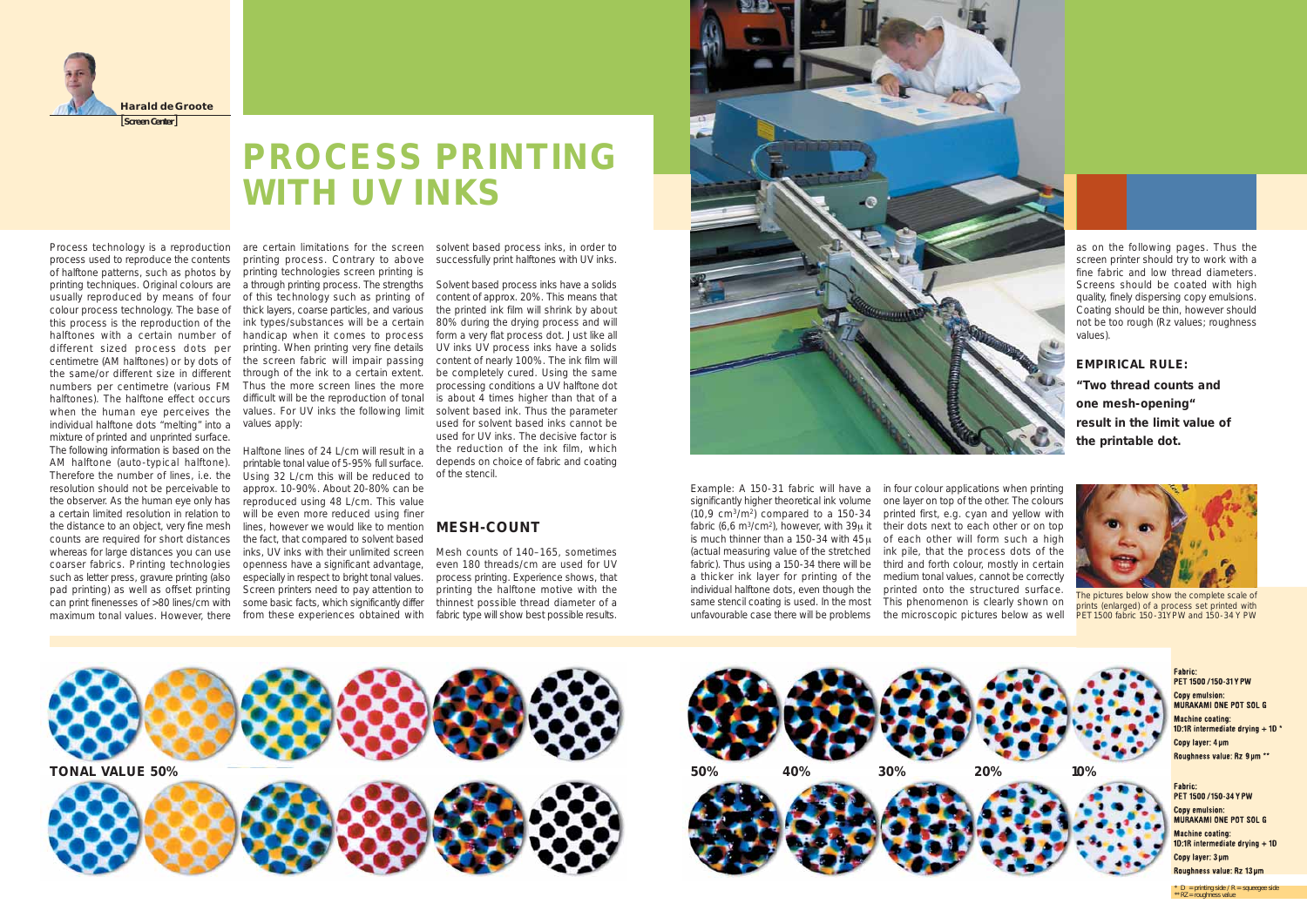**PROCESS PRINTING WITH UV INKS**



Process technology is a reproduction process used to reproduce the contents of halftone patterns, such as photos by printing technologies screen printing is printing techniques. Original colours are usually reproduced by means of four colour process technology. The base of thick layers, coarse particles, and various this process is the reproduction of the halftones with a certain number of different sized process dots per centimetre (AM halftones) or by dots of the same/or different size in different through of the ink to a certain extent. numbers per centimetre (various FM Thus the more screen lines the more halftones). The halftone effect occurs when the human eye perceives the values. For UV inks the following limit individual halftone dots "melting" into a values apply: mixture of printed and unprinted surface. The following information is based on the Halftone lines of 24 L/cm will result in a AM halftone (auto-typical halftone). Therefore the number of lines, i.e. the resolution should not be perceivable to the observer. As the human eye only has reproduced using 48 L/cm. This value a certain limited resolution in relation to the distance to an object, very fine mesh counts are required for short distances whereas for large distances you can use coarser fabrics. Printing technologies such as letter press, gravure printing (also pad printing) as well as offset printing can print finenesses of >80 lines/cm with maximum tonal values. However, there from these experiences obtained with

are certain limitations for the screen printing process. Contrary to above a through printing process. The strengths Solvent based process inks have a solids of this technology such as printing of ink types/substances will be a certain handicap when it comes to process form a very flat process dot. Just like all printing. When printing very fine details the screen fabric will impair passing difficult will be the reproduction of tonal

printable tonal value of 5-95% full surface. Using 32 L/cm this will be reduced to approx. 10-90%. About 20-80% can be will be even more reduced using finer lines, however we would like to mention **MESH-COUNT** the fact, that compared to solvent based inks, UV inks with their unlimited screen Mesh counts of 140–165, sometimes openness have a significant advantage, especially in respect to bright tonal values. Screen printers need to pay attention to some basic facts, which significantly differ

solvent based process inks, in order to successfully print halftones with UV inks.

content of approx. 20%. This means that the printed ink film will shrink by about 80% during the drying process and will UV inks UV process inks have a solids content of nearly 100%. The ink film will be completely cured. Using the same processing conditions a UV halftone dot is about 4 times higher than that of a solvent based ink. Thus the parameter used for solvent based inks cannot be used for UV inks. The decisive factor is the reduction of the ink film, which depends on choice of fabric and coating of the stencil.

even 180 threads/cm are used for UV process printing. Experience shows, that printing the halftone motive with the thinnest possible thread diameter of a fabric type will show best possible results.



significantly higher theoretical ink volume  $(10.9 \, \text{cm}^3/\text{m}^2)$  compared to a 150-34 fabric (6,6 m<sup>3</sup>/cm<sup>2</sup>), however, with  $39\mu$  it is much thinner than a 150-34 with 45μ (actual measuring value of the stretched fabric). Thus using a 150-34 there will be a thicker ink layer for printing of the individual halftone dots, even though the same stencil coating is used. In the most unfavourable case there will be problems

Example: A 150-31 fabric will have a in four colour applications when printing one layer on top of the other. The colours printed first, e.g. cyan and yellow with their dots next to each other or on top of each other will form such a high ink pile, that the process dots of the third and forth colour, mostly in certain medium tonal values, cannot be correctly printed onto the structured surface. This phenomenon is clearly shown on the microscopic pictures below as well



as on the following pages. Thus the screen printer should try to work with a fine fabric and low thread diameters. Screens should be coated with high quality, finely dispersing copy emulsions. Coating should be thin, however should not be too rough (Rz values; roughness values).

### **EMPIRICAL RULE:**

**"Two thread counts and one mesh-opening" result in the limit value of the printable dot.**



*The pictures below show the complete scale of prints (enlarged) of a process set printed with PET 1500 fabric 150-31 Y PW and 150-34 Y PW*







Fabric: PET 1500 / 150-31 Y PW **Copy emulsion:** MURAKAMI ONE POT SOL G Machine coating: 10:1R intermediate drying  $+10$ Copy laver: 4um Roughness value: Rz 9um \*\*

#### Fahric:

PFT 1500 / 150-34 Y PW **Copy emulsion: MURAKAMI ONE POT SOL G Machine coating:** 1D:1R intermediate drying  $+10$ Copy layer: 3 µm Roughness value: Rz 13 µm